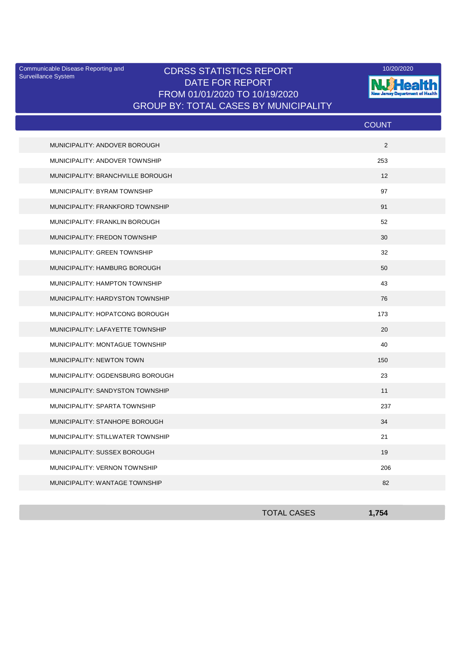Surveillance System

## Communicable Disease Reporting and **CDRSS STATISTICS REPORT** 10/20/2020<br>Surveillance Statem DATE FOR REPORT FROM 01/01/2020 TO 10/19/2020 GROUP BY: TOTAL CASES BY MUNICIPALITY



|                                   | <b>COUNT</b> |
|-----------------------------------|--------------|
| MUNICIPALITY: ANDOVER BOROUGH     | 2            |
| MUNICIPALITY: ANDOVER TOWNSHIP    | 253          |
| MUNICIPALITY: BRANCHVILLE BOROUGH | 12           |
| MUNICIPALITY: BYRAM TOWNSHIP      | 97           |
| MUNICIPALITY: FRANKFORD TOWNSHIP  | 91           |
| MUNICIPALITY: FRANKLIN BOROUGH    | 52           |
| MUNICIPALITY: FREDON TOWNSHIP     | 30           |
| MUNICIPALITY: GREEN TOWNSHIP      | 32           |
| MUNICIPALITY: HAMBURG BOROUGH     | 50           |
| MUNICIPALITY: HAMPTON TOWNSHIP    | 43           |
| MUNICIPALITY: HARDYSTON TOWNSHIP  | 76           |
| MUNICIPALITY: HOPATCONG BOROUGH   | 173          |
| MUNICIPALITY: LAFAYETTE TOWNSHIP  | 20           |
| MUNICIPALITY: MONTAGUE TOWNSHIP   | 40           |
| MUNICIPALITY: NEWTON TOWN         | 150          |
| MUNICIPALITY: OGDENSBURG BOROUGH  | 23           |
| MUNICIPALITY: SANDYSTON TOWNSHIP  | 11           |
| MUNICIPALITY: SPARTA TOWNSHIP     | 237          |
| MUNICIPALITY: STANHOPE BOROUGH    | 34           |
| MUNICIPALITY: STILLWATER TOWNSHIP | 21           |
| MUNICIPALITY: SUSSEX BOROUGH      | 19           |
| MUNICIPALITY: VERNON TOWNSHIP     | 206          |
| MUNICIPALITY: WANTAGE TOWNSHIP    | 82           |

| <b>TOTAL CASES</b> | 754<br>דט ו |
|--------------------|-------------|
|                    |             |